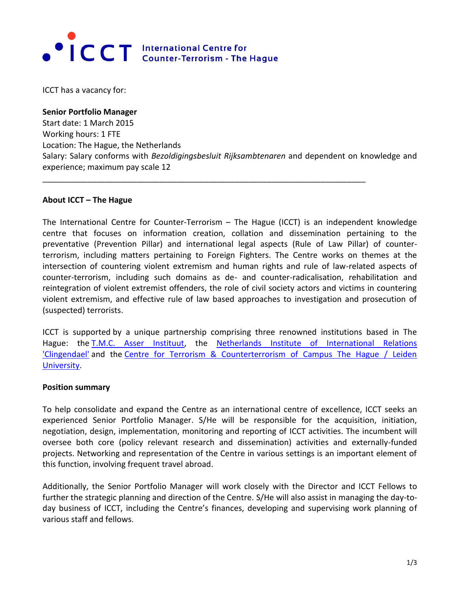

ICCT has a vacancy for:

**Senior Portfolio Manager** Start date: 1 March 2015 Working hours: 1 FTE Location: The Hague, the Netherlands Salary: Salary conforms with *Bezoldigingsbesluit Rijksambtenaren* and dependent on knowledge and experience; maximum pay scale 12

\_\_\_\_\_\_\_\_\_\_\_\_\_\_\_\_\_\_\_\_\_\_\_\_\_\_\_\_\_\_\_\_\_\_\_\_\_\_\_\_\_\_\_\_\_\_\_\_\_\_\_\_\_\_\_\_\_\_\_\_\_\_\_\_\_\_\_\_\_\_\_\_

#### **About ICCT – The Hague**

The International Centre for Counter-Terrorism – The Hague (ICCT) is an independent knowledge centre that focuses on information creation, collation and dissemination pertaining to the preventative (Prevention Pillar) and international legal aspects (Rule of Law Pillar) of counterterrorism, including matters pertaining to Foreign Fighters. The Centre works on themes at the intersection of countering violent extremism and human rights and rule of law-related aspects of counter-terrorism, including such domains as de- and counter-radicalisation, rehabilitation and reintegration of violent extremist offenders, the role of civil society actors and victims in countering violent extremism, and effective rule of law based approaches to investigation and prosecution of (suspected) terrorists.

ICCT is supported by a unique partnership comprising three renowned institutions based in The Hague: the [T.M.C. Asser Instituut,](http://www.asser.nl/) the [Netherlands Institute of International Relations](http://www.clingendael.nl/)  ['Clingendael'](http://www.clingendael.nl/) and the Centre for Terrorism & Counterterrorism of Campus The Hague / Leiden [University.](http://www.campusdenhaag.nl/ctc)

#### **Position summary**

To help consolidate and expand the Centre as an international centre of excellence, ICCT seeks an experienced Senior Portfolio Manager. S/He will be responsible for the acquisition, initiation, negotiation, design, implementation, monitoring and reporting of ICCT activities. The incumbent will oversee both core (policy relevant research and dissemination) activities and externally-funded projects. Networking and representation of the Centre in various settings is an important element of this function, involving frequent travel abroad.

Additionally, the Senior Portfolio Manager will work closely with the Director and ICCT Fellows to further the strategic planning and direction of the Centre. S/He will also assist in managing the day-today business of ICCT, including the Centre's finances, developing and supervising work planning of various staff and fellows.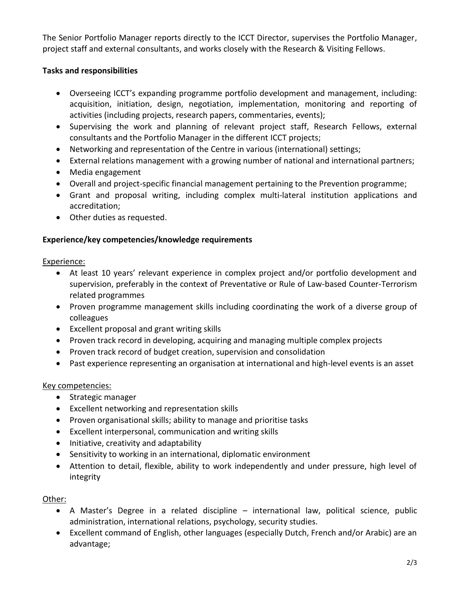The Senior Portfolio Manager reports directly to the ICCT Director, supervises the Portfolio Manager, project staff and external consultants, and works closely with the Research & Visiting Fellows.

### **Tasks and responsibilities**

- Overseeing ICCT's expanding programme portfolio development and management, including: acquisition, initiation, design, negotiation, implementation, monitoring and reporting of activities (including projects, research papers, commentaries, events);
- Supervising the work and planning of relevant project staff, Research Fellows, external consultants and the Portfolio Manager in the different ICCT projects;
- Networking and representation of the Centre in various (international) settings;
- External relations management with a growing number of national and international partners;
- Media engagement
- Overall and project-specific financial management pertaining to the Prevention programme;
- Grant and proposal writing, including complex multi-lateral institution applications and accreditation;
- Other duties as requested.

# **Experience/key competencies/knowledge requirements**

Experience:

- At least 10 years' relevant experience in complex project and/or portfolio development and supervision, preferably in the context of Preventative or Rule of Law-based Counter-Terrorism related programmes
- Proven programme management skills including coordinating the work of a diverse group of colleagues
- Excellent proposal and grant writing skills
- Proven track record in developing, acquiring and managing multiple complex projects
- Proven track record of budget creation, supervision and consolidation
- Past experience representing an organisation at international and high-level events is an asset

# Key competencies:

- Strategic manager
- Excellent networking and representation skills
- Proven organisational skills; ability to manage and prioritise tasks
- Excellent interpersonal, communication and writing skills
- Initiative, creativity and adaptability
- Sensitivity to working in an international, diplomatic environment
- Attention to detail, flexible, ability to work independently and under pressure, high level of integrity

Other:

- A Master's Degree in a related discipline international law, political science, public administration, international relations, psychology, security studies.
- Excellent command of English, other languages (especially Dutch, French and/or Arabic) are an advantage;